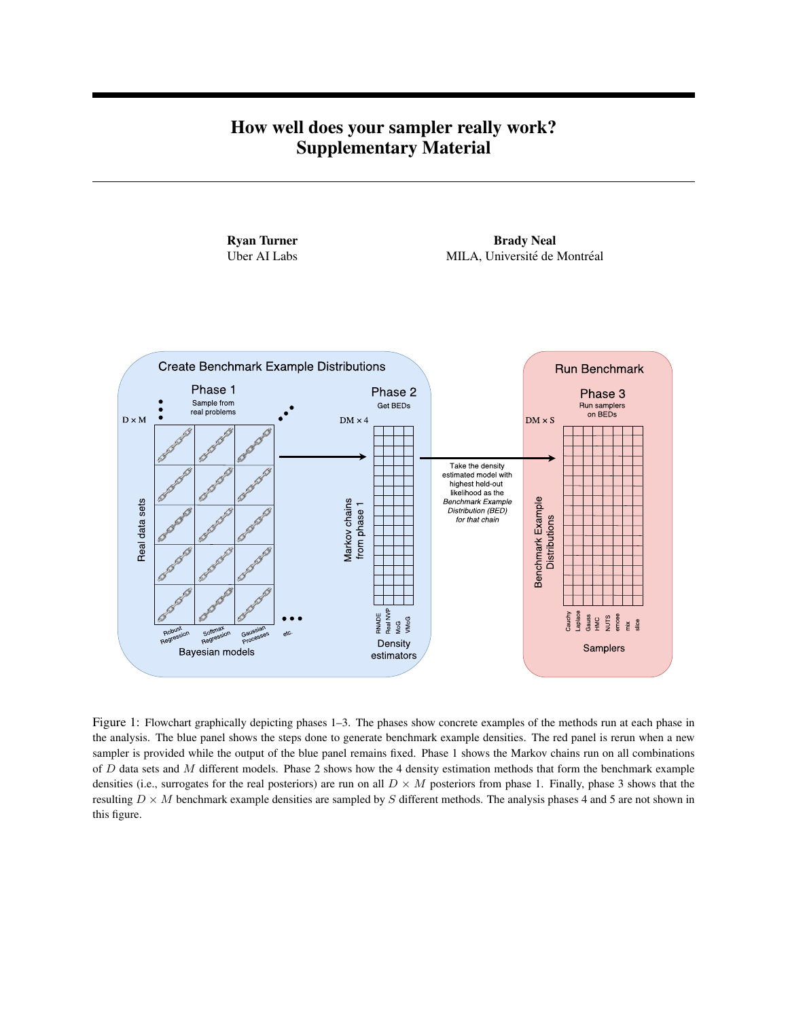## How well does your sampler really work? Supplementary Material



Figure 1: Flowchart graphically depicting phases 1–3. The phases show concrete examples of the methods run at each phase in the analysis. The blue panel shows the steps done to generate benchmark example densities. The red panel is rerun when a new sampler is provided while the output of the blue panel remains fixed. Phase 1 shows the Markov chains run on all combinations of  $D$  data sets and  $M$  different models. Phase 2 shows how the 4 density estimation methods that form the benchmark example densities (i.e., surrogates for the real posteriors) are run on all  $D \times M$  posteriors from phase 1. Finally, phase 3 shows that the resulting  $D \times M$  benchmark example densities are sampled by S different methods. The analysis phases 4 and 5 are not shown in this figure.